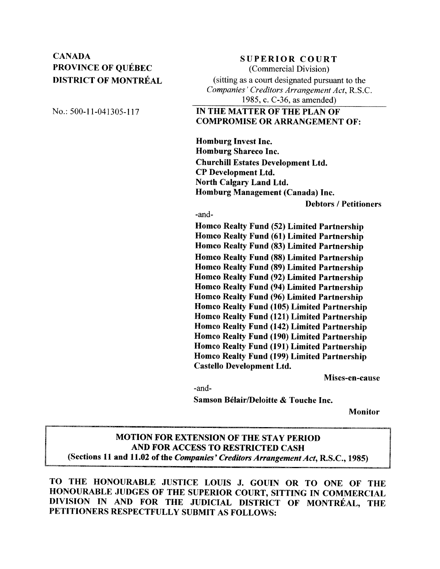# **CANADA PROVINCE OF OUÉBEC DISTRICT OF MONTRÉAL**

**SUPERIOR COURT** (Commercial Division) (sitting as a court designated pursuant to the Companies' Creditors Arrangement Act, R.S.C. 1985, c. C-36, as amended)

No.: 500-11-041305-117

# IN THE MATTER OF THE PLAN OF **COMPROMISE OR ARRANGEMENT OF:**

**Homburg Invest Inc. Homburg Shareco Inc. Churchill Estates Development Ltd. CP Development Ltd. North Calgary Land Ltd.** Homburg Management (Canada) Inc.

**Debtors / Petitioners** 

-and-

**Homco Realty Fund (52) Limited Partnership Homco Realty Fund (61) Limited Partnership Homco Realty Fund (83) Limited Partnership Homco Realty Fund (88) Limited Partnership Homco Realty Fund (89) Limited Partnership** Homco Realty Fund (92) Limited Partnership **Homco Realty Fund (94) Limited Partnership** Homco Realty Fund (96) Limited Partnership Homco Realty Fund (105) Limited Partnership Homco Realty Fund (121) Limited Partnership Homco Realty Fund (142) Limited Partnership Homco Realty Fund (190) Limited Partnership **Homco Realty Fund (191) Limited Partnership** Homco Realty Fund (199) Limited Partnership **Castello Development Ltd.** 

Mises-en-cause

-and-

Samson Bélair/Deloitte & Touche Inc.

**Monitor** 

# **MOTION FOR EXTENSION OF THE STAY PERIOD** AND FOR ACCESS TO RESTRICTED CASH (Sections 11 and 11.02 of the Companies' Creditors Arrangement Act, R.S.C., 1985)

TO THE HONOURABLE JUSTICE LOUIS J. GOUIN OR TO ONE OF THE HONOURABLE JUDGES OF THE SUPERIOR COURT, SITTING IN COMMERCIAL DIVISION IN AND FOR THE JUDICIAL DISTRICT OF MONTRÉAL, THE PETITIONERS RESPECTFULLY SUBMIT AS FOLLOWS: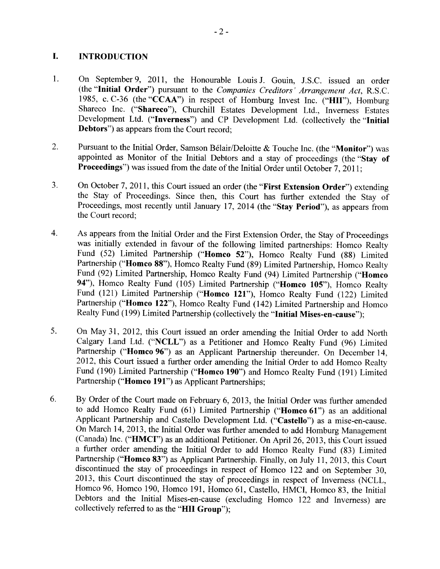#### I. **INTRODUCTION**

- On September 9, 2011, the Honourable Louis J. Gouin, J.S.C. issued an order  $1<sub>1</sub>$ (the "Initial Order") pursuant to the Companies Creditors' Arrangement Act, R.S.C. 1985, c. C-36 (the "CCAA") in respect of Homburg Invest Inc. ("HII"), Homburg Shareco Inc. ("Shareco"), Churchill Estates Development Ltd., Inverness Estates Development Ltd. ("Inverness") and CP Development Ltd. (collectively the "Initial **Debtors**") as appears from the Court record:
- $2.$ Pursuant to the Initial Order, Samson Bélair/Deloitte & Touche Inc. (the "Monitor") was appointed as Monitor of the Initial Debtors and a stay of proceedings (the "Stay of Proceedings") was issued from the date of the Initial Order until October 7, 2011;
- 3. On October 7, 2011, this Court issued an order (the "First Extension Order") extending the Stay of Proceedings. Since then, this Court has further extended the Stay of Proceedings, most recently until January 17, 2014 (the "Stay Period"), as appears from the Court record;
- $4.$ As appears from the Initial Order and the First Extension Order, the Stay of Proceedings was initially extended in favour of the following limited partnerships: Homco Realty Fund (52) Limited Partnership ("Homco 52"), Homco Realty Fund (88) Limited Partnership ("Homco 88"), Homco Realty Fund (89) Limited Partnership, Homco Realty Fund (92) Limited Partnership, Homco Realty Fund (94) Limited Partnership ("Homco 94"), Homco Realty Fund (105) Limited Partnership ("Homco 105"), Homco Realty Fund (121) Limited Partnership ("Homco 121"), Homco Realty Fund (122) Limited Partnership ("Homco 122"), Homco Realty Fund (142) Limited Partnership and Homco Realty Fund (199) Limited Partnership (collectively the "Initial Mises-en-cause");
- On May 31, 2012, this Court issued an order amending the Initial Order to add North 5. Calgary Land Ltd. ("NCLL") as a Petitioner and Homco Realty Fund (96) Limited Partnership ("Homco 96") as an Applicant Partnership thereunder. On December 14, 2012, this Court issued a further order amending the Initial Order to add Homco Realty Fund (190) Limited Partnership ("Homco 190") and Homco Realty Fund (191) Limited Partnership ("Homco 191") as Applicant Partnerships:
- 6. By Order of the Court made on February 6, 2013, the Initial Order was further amended to add Homco Realty Fund (61) Limited Partnership ("Homco 61") as an additional Applicant Partnership and Castello Development Ltd. ("Castello") as a mise-en-cause. On March 14, 2013, the Initial Order was further amended to add Homburg Management (Canada) Inc. ("HMCI") as an additional Petitioner. On April 26, 2013, this Court issued a further order amending the Initial Order to add Homco Realty Fund (83) Limited Partnership ("Homco 83") as Applicant Partnership. Finally, on July 11, 2013, this Court discontinued the stay of proceedings in respect of Homco 122 and on September 30, 2013, this Court discontinued the stay of proceedings in respect of Inverness (NCLL, Homco 96, Homco 190, Homco 191, Homco 61, Castello, HMCI, Homco 83, the Initial Debtors and the Initial Mises-en-cause (excluding Homco 122 and Inverness) are collectively referred to as the "HII Group");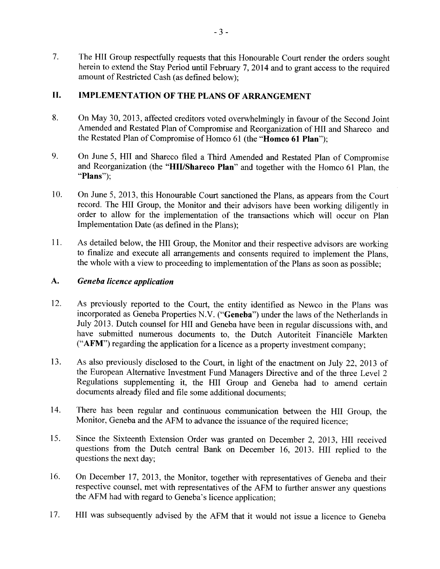$7.$ The HII Group respectfully requests that this Honourable Court render the orders sought herein to extend the Stay Period until February 7, 2014 and to grant access to the required amount of Restricted Cash (as defined below);

#### II. **IMPLEMENTATION OF THE PLANS OF ARRANGEMENT**

- 8. On May 30, 2013, affected creditors voted overwhelmingly in favour of the Second Joint Amended and Restated Plan of Compromise and Reorganization of HII and Shareco and the Restated Plan of Compromise of Homco 61 (the "Homco 61 Plan");
- 9. On June 5, HII and Shareco filed a Third Amended and Restated Plan of Compromise and Reorganization (the "HII/Shareco Plan" and together with the Homco 61 Plan, the "Plans"):
- 10. On June 5, 2013, this Honourable Court sanctioned the Plans, as appears from the Court record. The HII Group, the Monitor and their advisors have been working diligently in order to allow for the implementation of the transactions which will occur on Plan Implementation Date (as defined in the Plans);
- $11.$ As detailed below, the HII Group, the Monitor and their respective advisors are working to finalize and execute all arrangements and consents required to implement the Plans, the whole with a view to proceeding to implementation of the Plans as soon as possible;

#### A. Geneba licence application

- 12. As previously reported to the Court, the entity identified as Newco in the Plans was incorporated as Geneba Properties N.V. ("Geneba") under the laws of the Netherlands in July 2013. Dutch counsel for HII and Geneba have been in regular discussions with, and have submitted numerous documents to, the Dutch Autoriteit Financiële Markten ("AFM") regarding the application for a licence as a property investment company;
- 13. As also previously disclosed to the Court, in light of the enactment on July 22, 2013 of the European Alternative Investment Fund Managers Directive and of the three Level 2 Regulations supplementing it, the HII Group and Geneba had to amend certain documents already filed and file some additional documents;
- 14. There has been regular and continuous communication between the HII Group, the Monitor, Geneba and the AFM to advance the issuance of the required licence;
- 15. Since the Sixteenth Extension Order was granted on December 2, 2013, HII received questions from the Dutch central Bank on December 16, 2013. HII replied to the questions the next day;
- On December 17, 2013, the Monitor, together with representatives of Geneba and their 16. respective counsel, met with representatives of the AFM to further answer any questions the AFM had with regard to Geneba's licence application;
- HII was subsequently advised by the AFM that it would not issue a licence to Geneba 17.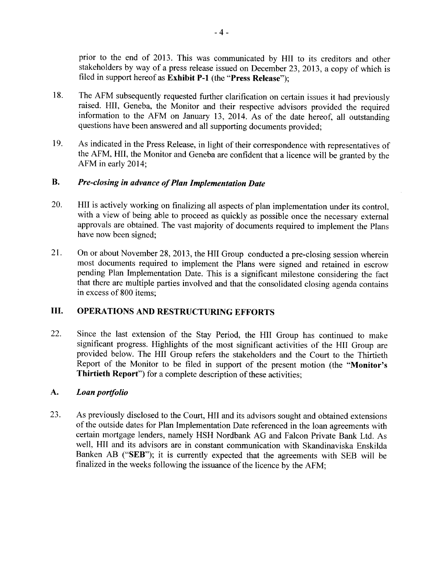prior to the end of 2013. This was communicated by HII to its creditors and other stakeholders by way of a press release issued on December 23, 2013, a copy of which is filed in support hereof as Exhibit P-1 (the "Press Release");

- 18. The AFM subsequently requested further clarification on certain issues it had previously raised. HII, Geneba, the Monitor and their respective advisors provided the required information to the AFM on January 13, 2014. As of the date hereof, all outstanding questions have been answered and all supporting documents provided;
- 19. As indicated in the Press Release, in light of their correspondence with representatives of the AFM, HII, the Monitor and Geneba are confident that a licence will be granted by the AFM in early 2014:

#### **B.** Pre-closing in advance of Plan Implementation Date

- 20. HII is actively working on finalizing all aspects of plan implementation under its control, with a view of being able to proceed as quickly as possible once the necessary external approvals are obtained. The vast majority of documents required to implement the Plans have now been signed:
- On or about November 28, 2013, the HII Group conducted a pre-closing session wherein 21. most documents required to implement the Plans were signed and retained in escrow pending Plan Implementation Date. This is a significant milestone considering the fact that there are multiple parties involved and that the consolidated closing agenda contains in excess of 800 items;

#### Ш. **OPERATIONS AND RESTRUCTURING EFFORTS**

22. Since the last extension of the Stay Period, the HII Group has continued to make significant progress. Highlights of the most significant activities of the HII Group are provided below. The HII Group refers the stakeholders and the Court to the Thirtieth Report of the Monitor to be filed in support of the present motion (the "Monitor's Thirtieth Report") for a complete description of these activities;

#### A. Loan portfolio

23. As previously disclosed to the Court, HII and its advisors sought and obtained extensions of the outside dates for Plan Implementation Date referenced in the loan agreements with certain mortgage lenders, namely HSH Nordbank AG and Falcon Private Bank Ltd. As well, HII and its advisors are in constant communication with Skandinaviska Enskilda Banken AB ("SEB"); it is currently expected that the agreements with SEB will be finalized in the weeks following the issuance of the licence by the AFM;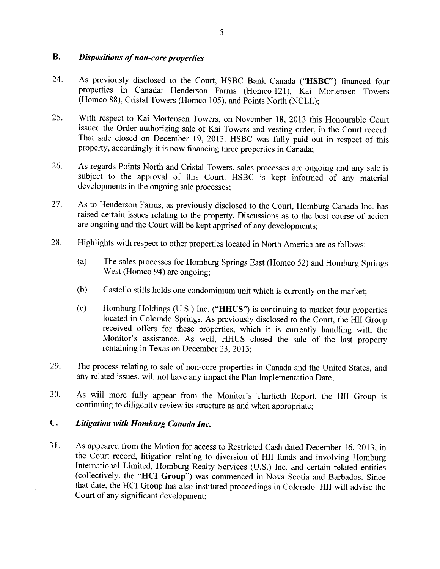#### **B. Dispositions of non-core properties**

- 24. As previously disclosed to the Court, HSBC Bank Canada ("HSBC") financed four properties in Canada: Henderson Farms (Homco 121), Kai Mortensen Towers (Homco 88), Cristal Towers (Homco 105), and Points North (NCLL);
- 25. With respect to Kai Mortensen Towers, on November 18, 2013 this Honourable Court issued the Order authorizing sale of Kai Towers and vesting order, in the Court record. That sale closed on December 19, 2013. HSBC was fully paid out in respect of this property, accordingly it is now financing three properties in Canada;
- As regards Points North and Cristal Towers, sales processes are ongoing and any sale is 26. subject to the approval of this Court. HSBC is kept informed of any material developments in the ongoing sale processes;
- 27. As to Henderson Farms, as previously disclosed to the Court, Homburg Canada Inc. has raised certain issues relating to the property. Discussions as to the best course of action are ongoing and the Court will be kept apprised of any developments;
- 28. Highlights with respect to other properties located in North America are as follows:
	- $(a)$ The sales processes for Homburg Springs East (Homco 52) and Homburg Springs West (Homco 94) are ongoing:
	- $(b)$ Castello stills holds one condominium unit which is currently on the market;
	- $(c)$ Homburg Holdings (U.S.) Inc. ("HHUS") is continuing to market four properties located in Colorado Springs. As previously disclosed to the Court, the HII Group received offers for these properties, which it is currently handling with the Monitor's assistance. As well, HHUS closed the sale of the last property remaining in Texas on December 23, 2013:
- 29. The process relating to sale of non-core properties in Canada and the United States, and any related issues, will not have any impact the Plan Implementation Date;
- 30. As will more fully appear from the Monitor's Thirtieth Report, the HII Group is continuing to diligently review its structure as and when appropriate:

#### $\mathbf{C}$ . Litigation with Homburg Canada Inc.

31. As appeared from the Motion for access to Restricted Cash dated December 16, 2013, in the Court record, litigation relating to diversion of HII funds and involving Homburg International Limited, Homburg Realty Services (U.S.) Inc. and certain related entities (collectively, the "HCI Group") was commenced in Nova Scotia and Barbados. Since that date, the HCI Group has also instituted proceedings in Colorado. HII will advise the Court of any significant development;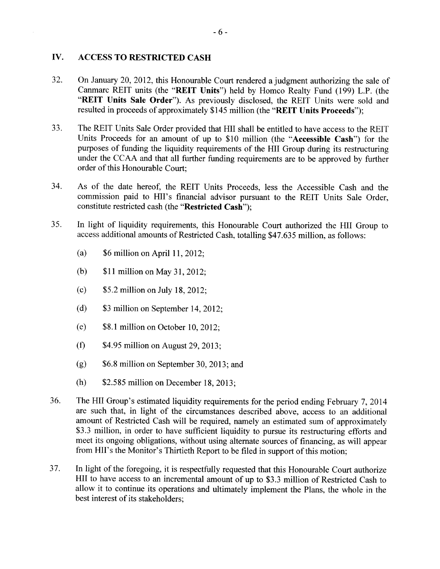#### IV. **ACCESS TO RESTRICTED CASH**

- 32. On January 20, 2012, this Honourable Court rendered a judgment authorizing the sale of Canmarc REIT units (the "REIT Units") held by Homco Realty Fund (199) L.P. (the "REIT Units Sale Order"). As previously disclosed, the REIT Units were sold and resulted in proceeds of approximately \$145 million (the "REIT Units Proceeds");
- 33. The REIT Units Sale Order provided that HII shall be entitled to have access to the REIT Units Proceeds for an amount of up to \$10 million (the "Accessible Cash") for the purposes of funding the liquidity requirements of the HII Group during its restructuring under the CCAA and that all further funding requirements are to be approved by further order of this Honourable Court:
- 34. As of the date hereof, the REIT Units Proceeds, less the Accessible Cash and the commission paid to HII's financial advisor pursuant to the REIT Units Sale Order, constitute restricted cash (the "Restricted Cash");
- 35. In light of liquidity requirements, this Honourable Court authorized the HII Group to access additional amounts of Restricted Cash, totalling \$47.635 million, as follows:
	- $(a)$ \$6 million on April 11, 2012;
	- $(b)$ \$11 million on May 31, 2012;
	- $(c)$ \$5.2 million on July 18, 2012;
	- $(d)$ \$3 million on September 14, 2012;
	- $(e)$ \$8.1 million on October 10, 2012;
	- $(f)$ \$4.95 million on August 29, 2013;
	- $(g)$ \$6.8 million on September 30, 2013; and
	- $(h)$ \$2.585 million on December 18, 2013;
- 36. The HII Group's estimated liquidity requirements for the period ending February 7, 2014 are such that, in light of the circumstances described above, access to an additional amount of Restricted Cash will be required, namely an estimated sum of approximately \$3.3 million, in order to have sufficient liquidity to pursue its restructuring efforts and meet its ongoing obligations, without using alternate sources of financing, as will appear from HII's the Monitor's Thirtieth Report to be filed in support of this motion;
- 37. In light of the foregoing, it is respectfully requested that this Honourable Court authorize HII to have access to an incremental amount of up to \$3.3 million of Restricted Cash to allow it to continue its operations and ultimately implement the Plans, the whole in the best interest of its stakeholders: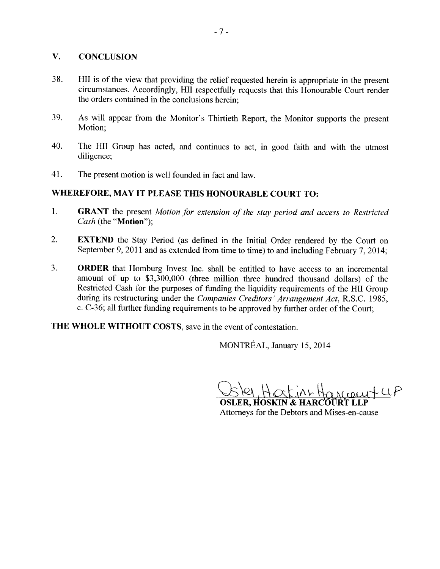#### V. **CONCLUSION**

- 38. HII is of the view that providing the relief requested herein is appropriate in the present circumstances. Accordingly, HII respectfully requests that this Honourable Court render the orders contained in the conclusions herein:
- 39. As will appear from the Monitor's Thirtieth Report, the Monitor supports the present Motion:
- 40. The HII Group has acted, and continues to act, in good faith and with the utmost diligence:
- 41. The present motion is well founded in fact and law.

# WHEREFORE, MAY IT PLEASE THIS HONOURABLE COURT TO:

- $\mathbf{1}$ . **GRANT** the present Motion for extension of the stay period and access to Restricted Cash (the "Motion");
- $\overline{2}$ . **EXTEND** the Stay Period (as defined in the Initial Order rendered by the Court on September 9, 2011 and as extended from time to time) to and including February 7, 2014;
- $\overline{3}$ . **ORDER** that Homburg Invest Inc. shall be entitled to have access to an incremental amount of up to \$3,300,000 (three million three hundred thousand dollars) of the Restricted Cash for the purposes of funding the liquidity requirements of the HII Group during its restructuring under the Companies Creditors' Arrangement Act, R.S.C. 1985, c. C-36; all further funding requirements to be approved by further order of the Court;

THE WHOLE WITHOUT COSTS, save in the event of contestation.

MONTRÉAL, January 15, 2014

 $+UP$  $4\pi H$  194

OSLER. HOSKIN & HARCOŬRT Attorneys for the Debtors and Mises-en-cause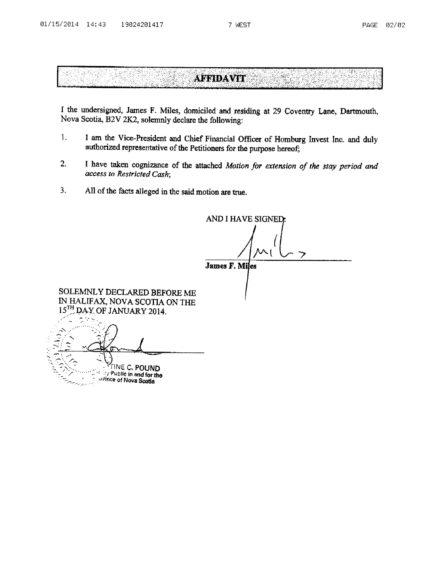áts‼g

58 k

# **AFFIDAVIT**

I the undersigned, James F. Miles, domiciled and residing at 29 Coventry Lane, Dartmouth, Nova Scotia, B2V 2K2, solemnly declare the following:

- $\mathbf{1}$ I am the Vice-President and Chief Financial Officer of Homburg Invest Inc. and duly authorized representative of the Petitioners for the purpose hereof;
- $2.$ I have taken cognizance of the attached Motion for extension of the stay period and access to Restricted Cash;
- 3. All of the facts alleged in the said motion are true.

42

(နားကို)

AND I HAVE SIGNED:

歸路

**James F. Miles** 

SOLEMNLY DECLARED BEFORE ME IN HALIFAX, NOVA SCOTIA ON THE 15TH DAY OF JANUARY 2014.

**TINE C. POUND** ity Public in and for the ovince of Nova Scotia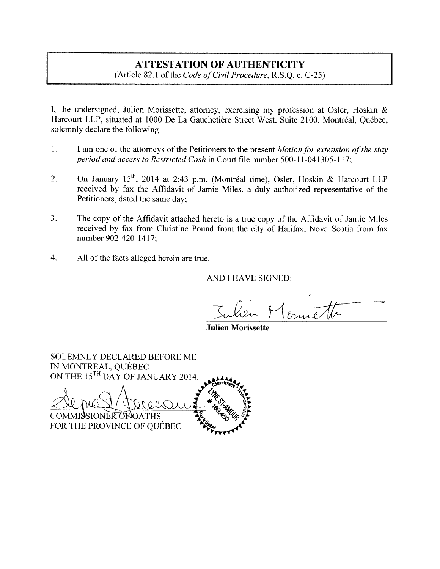# **ATTESTATION OF AUTHENTICITY**

(Article 82.1 of the Code of Civil Procedure, R.S.Q. c. C-25)

I, the undersigned, Julien Morissette, attorney, exercising my profession at Osler, Hoskin & Harcourt LLP, situated at 1000 De La Gauchetière Street West, Suite 2100, Montréal, Ouébec, solemnly declare the following:

- $1.$ I am one of the attorneys of the Petitioners to the present *Motion for extension of the stay* period and access to Restricted Cash in Court file number 500-11-041305-117;
- On January 15<sup>th</sup>, 2014 at 2:43 p.m. (Montréal time), Osler, Hoskin & Harcourt LLP  $\overline{2}$ . received by fax the Affidavit of Jamie Miles, a duly authorized representative of the Petitioners, dated the same day:
- $3.$ The copy of the Affidavit attached hereto is a true copy of the Affidavit of Jamie Miles received by fax from Christine Pound from the city of Halifax, Nova Scotia from fax number 902-420-1417;
- 4. All of the facts alleged herein are true.

AND I HAVE SIGNED:

**Julien Morissette** 

**SOLEMNLY DECLARED BEFORE ME** IN MONTRÉAL, QUÉBEC ON THE 15<sup>TH</sup> DAY OF JANUARY 2014. COMMISSIONER OF OATHS FOR THE PROVINCE OF QUÉBEC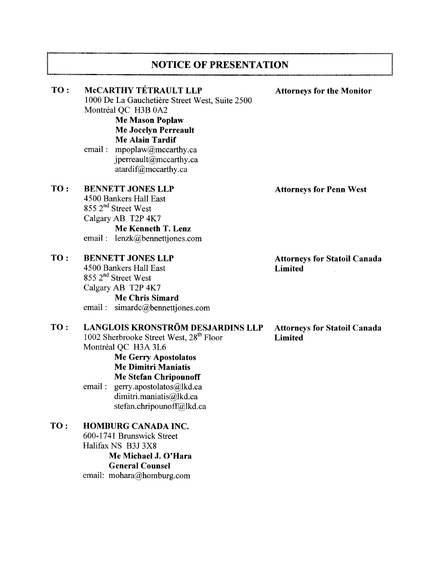# **NOTICE OF PRESENTATION**

| TO: | McCARTHY TÉTRAULT LLP<br>1000 De La Gauchetière Street West, Suite 2500<br>Montréal QC H3B 0A2<br><b>Me Mason Poplaw</b><br><b>Me Jocelyn Perreault</b><br><b>Me Alain Tardif</b><br>email: mpoplaw@mccarthy.ca<br>jperreault@mccarthy.ca<br>atardif@mccarthy.ca                                           | <b>Attorneys for the Monitor</b>                      |
|-----|------------------------------------------------------------------------------------------------------------------------------------------------------------------------------------------------------------------------------------------------------------------------------------------------------------|-------------------------------------------------------|
| TO: | <b>BENNETT JONES LLP</b><br>4500 Bankers Hall East<br>855 2 <sup>nd</sup> Street West<br>Calgary AB T2P 4K7<br>Me Kenneth T. Lenz<br>email: lenzk@bennettjones.com                                                                                                                                         | <b>Attorneys for Penn West</b>                        |
| TO: | <b>BENNETT JONES LLP</b><br>4500 Bankers Hall East<br>855 2 <sup>nd</sup> Street West<br>Calgary AB T2P 4K7<br><b>Me Chris Simard</b><br>email: simardc@bennettjones.com                                                                                                                                   | <b>Attorneys for Statoil Canada</b><br><b>Limited</b> |
| TO: | LANGLOIS KRONSTRÖM DESJARDINS LLP<br>1002 Sherbrooke Street West, 28 <sup>th</sup> Floor<br>Montréal QC H3A 3L6<br><b>Me Gerry Apostolatos</b><br><b>Me Dimitri Maniatis</b><br><b>Me Stefan Chripounoff</b><br>email:<br>gerry.apostolatos@lkd.ca<br>dimitri.maniatis@lkd.ca<br>stefan.chripounoff@lkd.ca | <b>Attorneys for Statoil Canada</b><br><b>Limited</b> |
| TO: | <b>HOMBURG CANADA INC.</b><br>600-1741 Brunswick Street<br>Halifax NS B3J 3X8<br>Me Michael J. O'Hara<br><b>General Counsel</b>                                                                                                                                                                            |                                                       |

email: mohara@homburg.com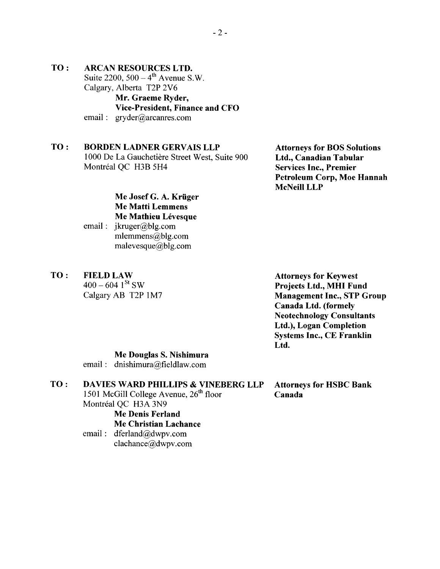### TO: **ARCAN RESOURCES LTD.** Suite 2200,  $500 - 4^{th}$  Avenue S.W. Calgary, Alberta T2P 2V6 Mr. Graeme Ryder, Vice-President, Finance and CFO

email:  $\text{gyder}(\widehat{a})$  arcanres.com

### TO: **BORDEN LADNER GERVAIS LLP** 1000 De La Gauchetière Street West, Suite 900 Montréal OC H3B 5H4

**Attorneys for BOS Solutions** Ltd., Canadian Tabular **Services Inc., Premier Petroleum Corp, Moe Hannah** McNeill LLP

Me Josef G. A. Krüger **Me Matti Lemmens** Me Mathieu Lévesque

- email:  $ikruger@blg.com$ mlemmens@blg.com malevesque@blg.com
- TO: **FIELD LAW**

 $400 - 604$  1<sup>St</sup> SW Calgary AB T2P 1M7 **Attorneys for Keywest** Projects Ltd., MHI Fund **Management Inc., STP Group** Canada Ltd. (formely **Neotechnology Consultants** Ltd.), Logan Completion **Systems Inc., CE Franklin** Ltd.

# Me Douglas S. Nishimura

email: dnishimura@fieldlaw.com

#### TO: **DAVIES WARD PHILLIPS & VINEBERG LLP**

1501 McGill College Avenue,  $26<sup>th</sup>$  floor Montréal OC H3A 3N9

**Me Denis Ferland** 

# **Me Christian Lachance**

email: dferland@dwpv.com clachance@dwpv.com

**Attorneys for HSBC Bank** Canada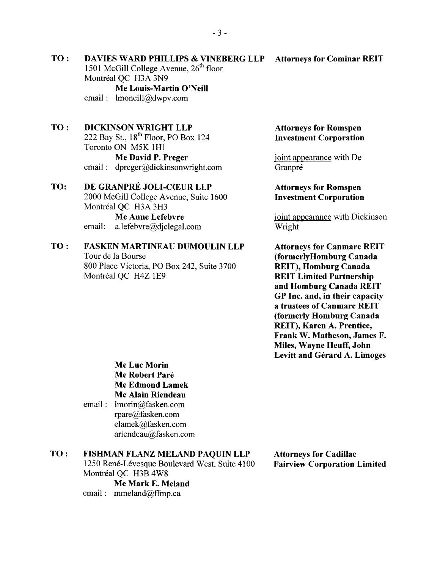**DAVIES WARD PHILLIPS & VINEBERG LLP** 1501 McGill College Avenue, 26<sup>th</sup> floor Montréal OC H3A 3N9

Me Louis-Martin O'Neill email:  $lmoneill@dwpv.com$ 

#### **DICKINSON WRIGHT LLP** TO:

TO:

222 Bay St., 18<sup>th</sup> Floor, PO Box 124 Toronto ON M5K 1H1 Me David P. Preger email:  $d$ preger@dickinsonwright.com

#### DE GRANPRÉ JOLI-CŒUR LLP TO:

2000 McGill College Avenue, Suite 1600 Montréal OC H3A 3H3

**Me Anne Lefebvre** email: a.lefebvre@diclegal.com

### TO: **FASKEN MARTINEAU DUMOULIN LLP**

Tour de la Bourse 800 Place Victoria, PO Box 242, Suite 3700 Montréal QC H4Z 1E9

## **Attorneys for Romspen Investment Corporation**

joint appearance with De Granpré

## **Attorneys for Romspen Investment Corporation**

joint appearance with Dickinson Wright

**Attorneys for Canmarc REIT** (formerlyHomburg Canada **REIT**), Homburg Canada **REIT Limited Partnership** and Homburg Canada REIT GP Inc. and, in their capacity a trustees of Canmarc REIT (formerly Homburg Canada REIT), Karen A. Prentice, Frank W. Matheson, James F. Miles, Wayne Heuff, John Levitt and Gérard A. Limoges

**Me Luc Morin** Me Robert Paré **Me Edmond Lamek** Me Alain Riendeau email: lmorin@fasken.com

rpare@fasken.com elamek@fasken.com ariendeau@fasken.com

#### TO: FISHMAN FLANZ MELAND PAQUIN LLP

1250 René-Lévesque Boulevard West, Suite 4100 Montréal OC H3B 4W8

Me Mark E. Meland email:  $mmeland@ffmp.ca$ 

**Attorneys for Cadillac Fairview Corporation Limited** 

### **Attorneys for Cominar REIT**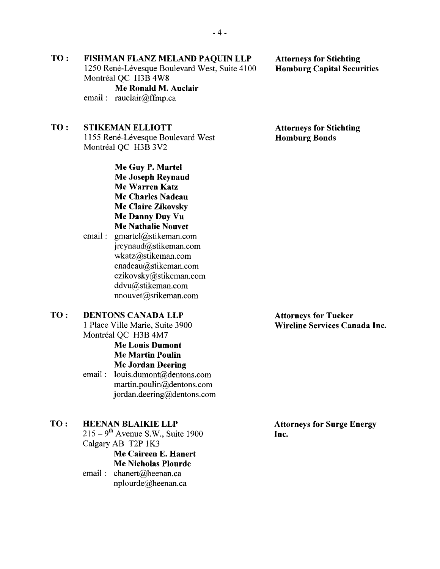TO: **FISHMAN FLANZ MELAND PAOUIN LLP** 1250 René-Lévesque Boulevard West, Suite 4100 Montréal OC H3B 4W8

Me Ronald M. Auclair email: rauclair@ffmp.ca

### TO: **STIKEMAN ELLIOTT**

1155 René-Lévesque Boulevard West Montréal QC H3B 3V2

> Me Guy P. Martel Me Joseph Reynaud Me Warren Katz Me Charles Nadeau **Me Claire Zikovsky** Me Danny Duy Vu Me Nathalie Nouvet

email: gmartel@stikeman.com jreynaud@stikeman.com wkatz@stikeman.com cnadeau@stikeman.com czikovsky@stikeman.com ddvu@stikeman.com nnouvet@stikeman.com

### **DENTONS CANADA LLP** TO: 1 Place Ville Marie, Suite 3900 Montréal QC H3B 4M7

**Me Louis Dumont Me Martin Poulin Me Jordan Deering** 

email: louis.dumont@dentons.com martin.poulin@dentons.com jordan.deering@dentons.com

#### TO: **HEENAN BLAIKIE LLP**

 $215 - 9$ <sup>th</sup> Avenue S.W., Suite 1900 Calgary AB T2P 1K3 Me Caireen E. Hanert **Me Nicholas Plourde** 

email: chanert@heenan.ca nplourde@heenan.ca

**Attorneys for Stichting** 

**Homburg Bonds** 

**Attorneys for Tucker** Wireline Services Canada Inc.

**Attorneys for Surge Energy** Inc.

**Attorneys for Stichting Homburg Capital Securities**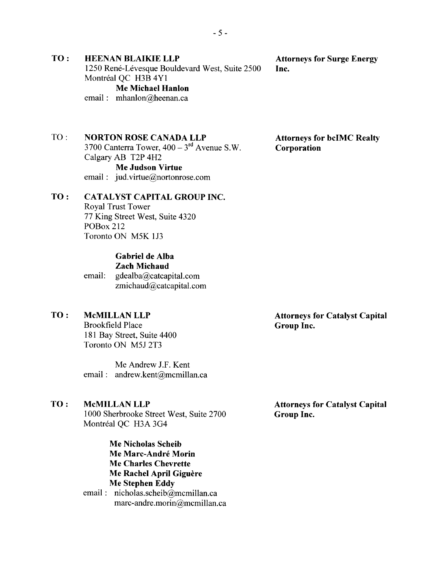### **Attorneys for Surge Energy** Inc.

**HEENAN BLAIKIE LLP** 1250 René-Lévesque Bouldevard West, Suite 2500 Montréal OC H3B 4Y1 **Me Michael Hanlon** email: mhanlon@heenan.ca

 $TO:$ **NORTON ROSE CANADA LLP** 

TO:

3700 Canterra Tower,  $400 - 3$ <sup>rd</sup> Avenue S.W. Calgary AB T2P 4H2

**Me Judson Virtue** email: jud.virtue@nortonrose.com

#### TO: **CATALYST CAPITAL GROUP INC.**

**Royal Trust Tower** 77 King Street West, Suite 4320 **POBox 212** Toronto ON M5K 1J3

# Gabriel de Alba

**Zach Michaud** 

email: gdealba@catcapital.com zmichaud@catcapital.com

#### TO: **McMILLAN LLP**

**Brookfield Place** 181 Bay Street, Suite 4400 Toronto ON M5J 2T3

Me Andrew J.F. Kent email: andrew.kent@mcmillan.ca

#### TO: **McMILLAN LLP**

1000 Sherbrooke Street West, Suite 2700 Montréal QC H3A 3G4

> Me Nicholas Scheib Me Marc-André Morin **Me Charles Chevrette** Me Rachel April Giguère **Me Stephen Eddy**

email: nicholas.scheib@mcmillan.ca marc-andre.morin@mcmillan.ca **Attorneys for Catalyst Capital** Group Inc.

**Attorneys for bcIMC Realty Corporation** 

**Attorneys for Catalyst Capital Group Inc.**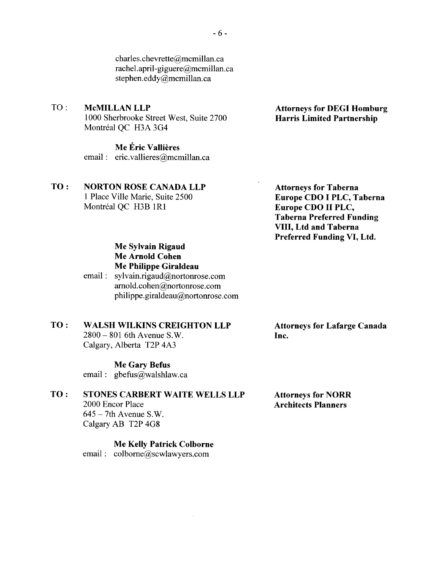charles.chevrette@mcmillan.ca rachel.april-giguere@mcmillan.ca stephen.eddy@mcmillan.ca

#### TO: **McMILLAN LLP**

1000 Sherbrooke Street West, Suite 2700 Montréal OC H3A 3G4

### Me Éric Vallières

email: eric.vallieres@mcmillan.ca

#### **NORTON ROSE CANADA LLP** TO:

1 Place Ville Marie, Suite 2500 Montréal OC H3B 1R1

## **Attorneys for Taberna** Europe CDO I PLC, Taberna Europe CDO II PLC, **Taberna Preferred Funding** VIII, Ltd and Taberna Preferred Funding VI, Ltd.

## Me Sylvain Rigaud **Me Arnold Cohen** Me Philippe Giraldeau

email: sylvain.rigaud@nortonrose.com arnold.cohen@nortonrose.com philippe.giraldeau@nortonrose.com

#### TO: **WALSH WILKINS CREIGHTON LLP**

2800 - 801 6th Avenue S.W. Calgary, Alberta T2P 4A3

### **Me Gary Befus**

email: gbefus@walshlaw.ca

#### TO: **STONES CARBERT WAITE WELLS LLP**

2000 Encor Place  $645 - 7$ th Avenue S.W. Calgary AB T2P 4G8

**Me Kelly Patrick Colborne** email: colborne@scwlawyers.com

 $\mathcal{L}$ 

**Attorneys for Lafarge Canada** Inc.

**Attorneys for NORR Architects Planners** 

## **Attorneys for DEGI Homburg Harris Limited Partnership**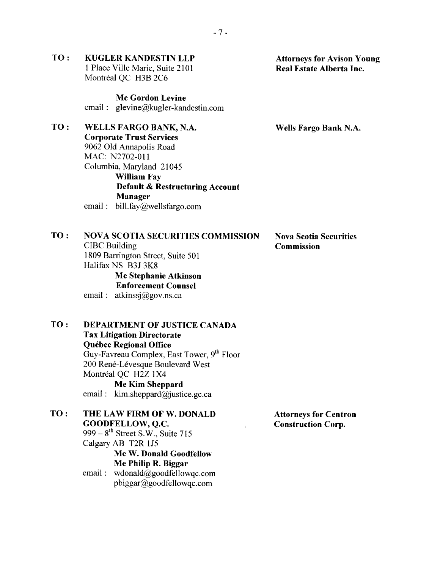### TO: **KUGLER KANDESTIN LLP** 1 Place Ville Marie, Suite 2101 Montréal QC H3B 2C6

**Me Gordon Levine** email: glevine@kugler-kandestin.com

#### TO: WELLS FARGO BANK, N.A.

**Corporate Trust Services** 9062 Old Annapolis Road MAC: N2702-011 Columbia, Maryland 21045 **William Fav Default & Restructuring Account Manager** email: bill.fay@wellsfargo.com

### $TO:$ **NOVA SCOTIA SECURITIES COMMISSION CIBC** Building 1809 Barrington Street, Suite 501 Halifax NS B3J 3K8

Me Stephanie Atkinson **Enforcement Counsel** 

email:  $atkinss@gov.ns.ca$ 

TO: **DEPARTMENT OF JUSTICE CANADA Tax Litigation Directorate Ouébec Regional Office** Guy-Favreau Complex, East Tower, 9th Floor 200 René-Lévesque Boulevard West Montréal OC H2Z 1X4 **Me Kim Sheppard** email:  $kim.sheppard@justice.gc.ca$ 

TO: THE LAW FIRM OF W. DONALD GOODFELLOW, O.C. 999 –  $8^{\text{th}}$  Street S.W., Suite 715 Calgary AB T2R 1J5 Me W. Donald Goodfellow Me Philip R. Biggar email:  $wdonald@goodfellowqc.com$  $pbiggar@goodfellowac.com$ 

**Attorneys for Centron Construction Corp.** 

## **Attorneys for Avison Young** Real Estate Alberta Inc.

Wells Fargo Bank N.A.

**Nova Scotia Securities Commission**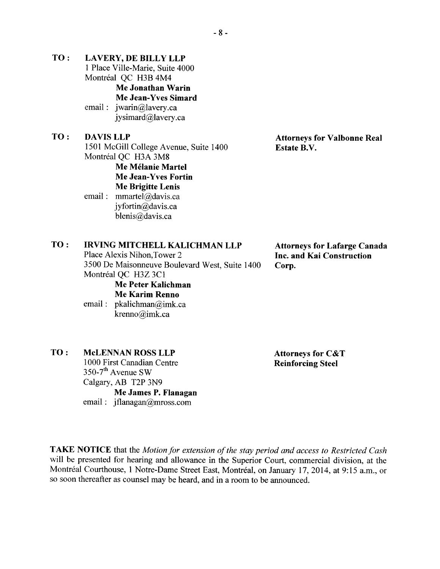- TO: **LAVERY, DE BILLY LLP** 1 Place Ville-Marie, Suite 4000 Montréal OC H3B 4M4 **Me Jonathan Warin** Me Jean-Yves Simard email:  $iwan@lavery.ca$ jysimard@lavery.ca TO: **DAVIS LLP** 1501 McGill College Avenue. Suite 1400 Montréal OC H3A 3M8 Me Mélanie Martel **Me Jean-Yves Fortin** 
	- **Me Brigitte Lenis** email: mmartel@davis.ca ivfortin@davis.ca blenis@davis.ca

# **Attorneys for Valbonne Real Estate B.V.**

#### TO: **IRVING MITCHELL KALICHMAN LLP**

Place Alexis Nihon, Tower 2 3500 De Maisonneuve Boulevard West, Suite 1400 Montréal QC H3Z 3C1 Me Peter Kalichman

email: pkalichman@imk.ca krenno@imk.ca

**Attorneys for Lafarge Canada** Inc. and Kai Construction Corp.

### TO: **McLENNAN ROSS LLP**

1000 First Canadian Centre 350-7<sup>th</sup> Avenue SW Calgary, AB T2P 3N9 Me James P. Flanagan email:  $iflanagan@mross.com$ 

**Attorneys for C&T Reinforcing Steel** 

TAKE NOTICE that the Motion for extension of the stay period and access to Restricted Cash will be presented for hearing and allowance in the Superior Court, commercial division, at the Montréal Courthouse, 1 Notre-Dame Street East, Montréal, on January 17, 2014, at 9:15 a.m., or so soon thereafter as counsel may be heard, and in a room to be announced.

Me Karim Renno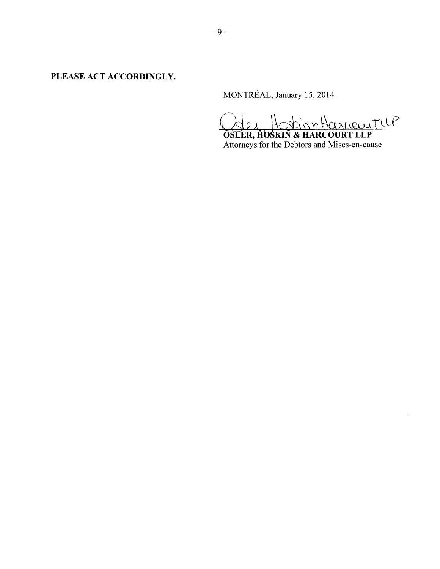PLEASE ACT ACCORDINGLY.

MONTRÉAL, January 15, 2014

OSLER, HOSKIN & HARCOURT LLP

Attorneys for the Debtors and Mises-en-cause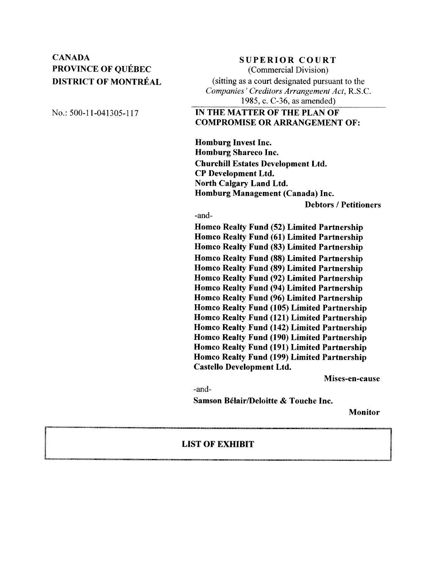# **CANADA** PROVINCE OF OUÉBEC **DISTRICT OF MONTRÉAL**

**SUPERIOR COURT** 

(Commercial Division) (sitting as a court designated pursuant to the Companies' Creditors Arrangement Act, R.S.C. 1985, c. C-36, as amended)

No.: 500-11-041305-117

# IN THE MATTER OF THE PLAN OF **COMPROMISE OR ARRANGEMENT OF:**

**Homburg Invest Inc. Homburg Shareco Inc. Churchill Estates Development Ltd. CP Development Ltd. North Calgary Land Ltd.** Homburg Management (Canada) Inc.

**Debtors / Petitioners** 

-and-

Homco Realty Fund (52) Limited Partnership Homco Realty Fund (61) Limited Partnership Homco Realty Fund (83) Limited Partnership **Homco Realty Fund (88) Limited Partnership Homco Realty Fund (89) Limited Partnership** Homco Realty Fund (92) Limited Partnership Homco Realty Fund (94) Limited Partnership Homco Realty Fund (96) Limited Partnership Homco Realty Fund (105) Limited Partnership Homco Realty Fund (121) Limited Partnership Homco Realty Fund (142) Limited Partnership Homco Realty Fund (190) Limited Partnership Homco Realty Fund (191) Limited Partnership Homco Realty Fund (199) Limited Partnership **Castello Development Ltd.** 

Mises-en-cause

-and-

Samson Bélair/Deloitte & Touche Inc.

**Monitor** 

### **LIST OF EXHIBIT**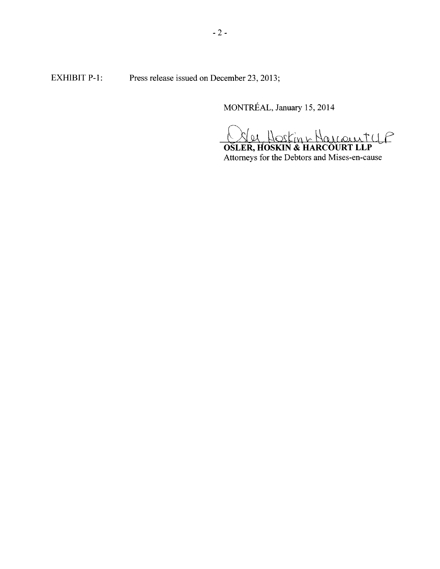**EXHIBIT P-1:** Press release issued on December 23, 2013;

MONTRÉAL, January 15, 2014

lee Hosting Harcourty P

**OSLER, HOSKIN & HARCOURT LLP** Attorneys for the Debtors and Mises-en-cause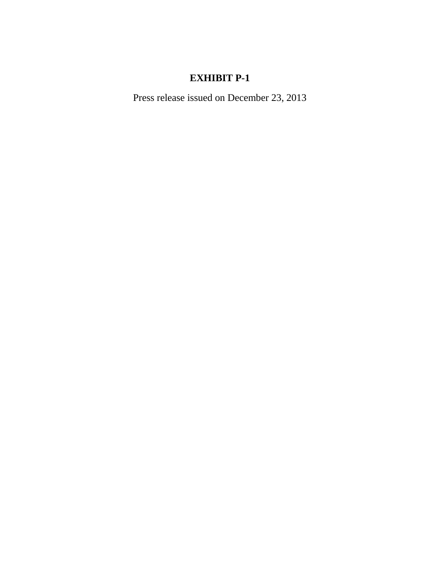# **EXHIBIT P-1**

Press release issued on December 23, 2013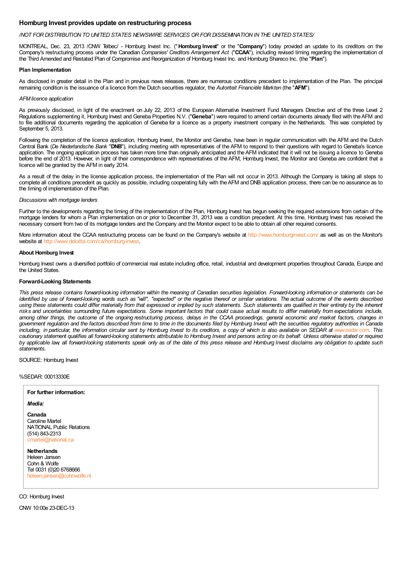### **Homburg Invest provides update on restructuring process**

### */NOT FOR DISTRIBUTION TO UNITED STATES NEWSWIRE SERVICES OR FOR DISSEMINATION IN THE UNITED STATES/*

MONTREAL, Dec. 23, 2013 /CNW Telbec/ - Homburg Invest Inc. ("**Homburg Invest**" or the "**Company**") today provided an update to its creditors on the Company's restructuring process under the Canadian *Companies' Creditors Arrangement Act* ("**CCAA**"), including revised timing regarding the implementation of the Third Amended and Restated Plan of Compromise and Reorganization of Homburg Invest Inc. and Homburg Shareco Inc. (the "**Plan**").

### **Plan Implementation**

As disclosed in greater detail in the Plan and in previous news releases, there are numerous conditions precedent to implementation of the Plan. The principal remaining condition is the issuance of a licence from the Dutch securities regulator, the *Autoriteit Financiële Markten* (the "**AFM**").

### *AFMlicence application*

As previously disclosed, in light of the enactment on July 22, 2013 of the European Alternative Investment Fund Managers Directive and of the three Level 2 Regulations supplementing it, Homburg Invest and Geneba Properties N.V. ("**Geneba**") were required to amend certain documents already filed with theAFM and to file additional documents regarding the application of Geneba for a licence as a property investment company in the Netherlands. This was completed by September 5, 2013.

Following the completion of the licence application, Homburg Invest, the Monitor and Geneba, have been in regular communication with the AFM and the Dutch Central Bank (*De Nederlandsche Bank* "**DNB**"), including meeting with representatives of the AFM to respond to their questions with regard to Geneba's licence application. The ongoing application process has taken more time than originally anticipated and theAFM indicated that it will not be issuing a licence to Geneba before the end of 2013. However, in light of their correspondence with representatives of the AFM, Homburg Invest, the Monitor and Geneba are confident that a licence will be granted by the AFM in early 2014.

As a result of the delay in the license application process, the implementation of the Plan will not occur in 2013. Although the Company is taking all steps to complete all conditions precedent as quickly as possible, including cooperating fully with theAFM and DNB application process, there can be no assurance as to the timing of implementation of the Plan.

### *Discussions with mortgage lenders*

Further to the developments regarding the timing of the implementation of the Plan, Homburg Invest has begun seeking the required extensions from certain of the mortgage lenders for whom a Plan implementation on or prior to December 31, 2013 was a condition precedent. At this time, Homburg Invest has received the necessary consent from two of its mortgage lenders and the Company and the Monitor expect to be able to obtain all other required consents.

More information about the CCAA restructuring process can be found on the Company's website at <http://www.homburginvest.com/> as well as on the Monitor's website at <http://www.deloitte.com/ca/homburg-invest>.

### **About Homburg Invest**

Homburg Invest owns a diversified portfolio of commercial real estate including office, retail, industrial and development properties throughout Canada, Europe and the United States.

### **Forward-Looking Statements**

This press release contains forward-looking information within the meaning of Canadian securities legislation. Forward-looking information or statements can be identified by use of forward-looking words such as "will", "expected" or the negative thereof or similar variations. The actual outcome of the events described using these statements could differ materially from that expressed or implied by such statements. Such statements are qualified in their entirety by the inherent risks and uncertainties surrounding future expectations. Some important factors that could cause actual results to differ materially from expectations include. among other things, the outcome of the ongoing restructuring process, delays in the CCAA proceedings, general economic and market factors, changes in government regulation and the factors described from time to time in the documents filed by Homburg Invest with the securities regulatory authorities in Canada including, in particular, the information circular sent by Homburg Invest to its creditors, a copy of which is also available on SEDAR at [www.sedar.com](http://www.sedar.com/). This cautionary statement qualifies all forward-looking statements attributable to Homburg Invest and persons acting on its behalf. Unless otherwise stated or required by applicable law all forward-looking statements speak only as of the date of this press release and Homburg Invest disclaims any obligation to update such *statements.*

SOURCE: Homburg Invest

%SEDAR: 00013330E

## **For further information:** *Media:* **Canada** Caroline Martel NATIONAL Public Relations (514) 843-2313 martel@national.ca **Netherlands** Heleen Jansen Cohn & Wolfe Tel 0031 (0)20 6768666 [heleen.jansen@cohnwolfe.nl](mailto:heleen.jansen@cohnwolfe.nl)

CO: Homburg Invest

CNW 10:00e 23-DEC-13